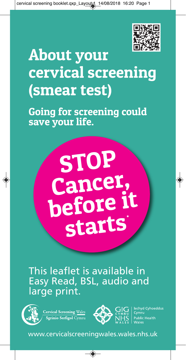

# **About your cervical screening (smear test)**

**Going for screening could save your life.**



This leaflet is available in Easy Read, BSL, audio and large print.



**Cervical Screening Wales** Sgrinio Serfigol Cymru



d Cyhoeddus

www.cervicalscreeningwales.wales.nhs.uk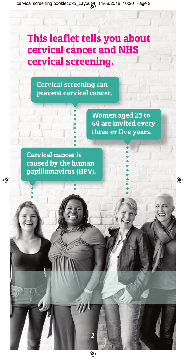# **This leaflet tells you about cervical cancer and NHS cervical screening.**

 $\overline{\phantom{a}}$ 

**Cervical screening can prevent cervical cancer.**

> **Women aged 25 to 64 are invited every three or five years.**

**Cervical cancer is caused by the human papillomavirus (HPV).**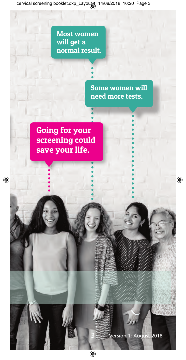**Most women will get a normal result.**

> **Some women will need more tests.**

**Going for your screening could save your life.**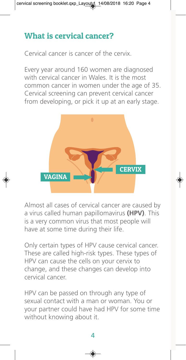# **What is cervical cancer?**

Cervical cancer is cancer of the cervix.

Every year around 160 women are diagnosed with cervical cancer in Wales. It is the most common cancer in women under the age of 35. Cervical screening can prevent cervical cancer from developing, or pick it up at an early stage.



Almost all cases of cervical cancer are caused by a virus called human papillomavirus **(HPV)**. This is a very common virus that most people will have at some time during their life.

Only certain types of HPV cause cervical cancer. These are called high-risk types. These types of HPV can cause the cells on your cervix to change, and these changes can develop into cervical cancer.

HPV can be passed on through any type of sexual contact with a man or woman. You or your partner could have had HPV for some time without knowing about it.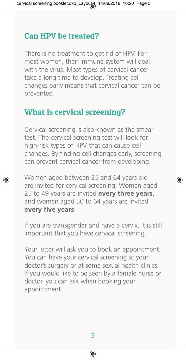## **Can HPV be treated?**

There is no treatment to get rid of HPV. For most women, their immune system will deal with the virus. Most types of cervical cancer take a long time to develop. Treating cell changes early means that cervical cancer can be prevented.

#### **What is cervical screening?**

Cervical screening is also known as the smear test. The cervical screening test will look for high-risk types of HPV that can cause cell changes. By finding cell changes early, screening can prevent cervical cancer from developing.

Women aged between 25 and 64 years old are invited for cervical screening. Women aged 25 to 49 years are invited **every three years**, and women aged 50 to 64 years are invited **every five years**.

If you are transgender and have a cervix, it is still important that you have cervical screening.

Your letter will ask you to book an appointment. You can have your cervical screening at your doctor's surgery or at some sexual health clinics. If you would like to be seen by a female nurse or doctor, you can ask when booking your appointment.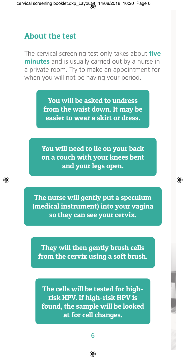#### **About the test**

The cervical screening test only takes about **five minutes** and is usually carried out by a nurse in a private room. Try to make an appointment for when you will not be having your period.

> **You will be asked to undress from the waist down. It may be easier to wear a skirt or dress.**

**You will need to lie on your back on a couch with your knees bent and your legs open.**

**The nurse will gently put a speculum (medical instrument) into your vagina so they can see your cervix.**

**They will then gently brush cells from the cervix using a soft brush.**

**The cells will be tested for highrisk HPV. If high-risk HPV is found, the sample will be looked at for cell changes.**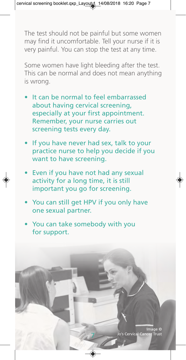The test should not be painful but some women may find it uncomfortable. Tell your nurse if it is very painful. You can stop the test at any time.

Some women have light bleeding after the test. This can be normal and does not mean anything is wrong.

- It can be normal to feel embarrassed about having cervical screening, especially at your first appointment. Remember, your nurse carries out screening tests every day.
- If you have never had sex, talk to your practice nurse to help you decide if you want to have screening.
- Even if you have not had any sexual activity for a long time, it is still important you go for screening.
- You can still get HPV if you only have one sexual partner.

7

You can take somebody with you for support.

> Image Jo's Cervical Cance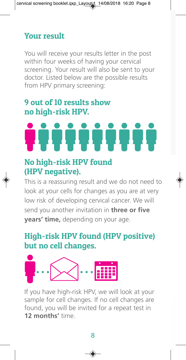# **Your result**

You will receive your results letter in the post within four weeks of having your cervical screening. Your result will also be sent to your doctor. Listed below are the possible results from HPV primary screening:

#### **9 out of 10 results show no high-risk HPV.**

#### **No high-risk HPV found (HPV negative).**

This is a reassuring result and we do not need to look at your cells for changes as you are at very low risk of developing cervical cancer. We will send you another invitation in **three or five years' time,** depending on your age.

# **High-risk HPV found (HPV positive) but no cell changes.**



If you have high-risk HPV, we will look at your sample for cell changes. If no cell changes are found, you will be invited for a repeat test in **12 months'** time.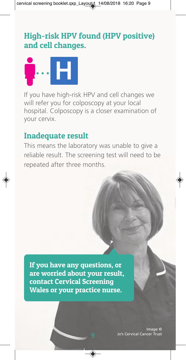# **High-risk HPV found (HPV positive) and cell changes.**



If you have high-risk HPV and cell changes we will refer you for colposcopy at your local hospital. Colposcopy is a closer examination of your cervix.

#### **Inadequate result**

This means the laboratory was unable to give a reliable result. The screening test will need to be repeated after three months.

**If you have any questions, or are worried about your result, contact Cervical Screening Wales or your practice nurse.**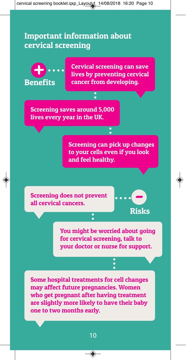#### **Important information about cervical screening**



**You might be worried about going for cervical screening, talk to your doctor or nurse for support.**

**Some hospital treatments for cell changes may affect future pregnancies. Women who get pregnant after having treatment are slightly more likely to have their baby one to two months early.**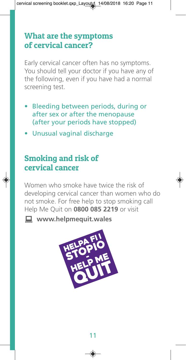### **What are the symptoms of cervical cancer?**

Early cervical cancer often has no symptoms. You should tell your doctor if you have any of the following, even if you have had a normal screening test.

- Bleeding between periods, during or after sex or after the menopause (after your periods have stopped)
- Unusual vaginal discharge

# **Smoking and risk of cervical cancer**

Women who smoke have twice the risk of developing cervical cancer than women who do not smoke. For free help to stop smoking call Help Me Quit on **0800 085 2219** or visit

**Example 20 www.helpmequit.wales**